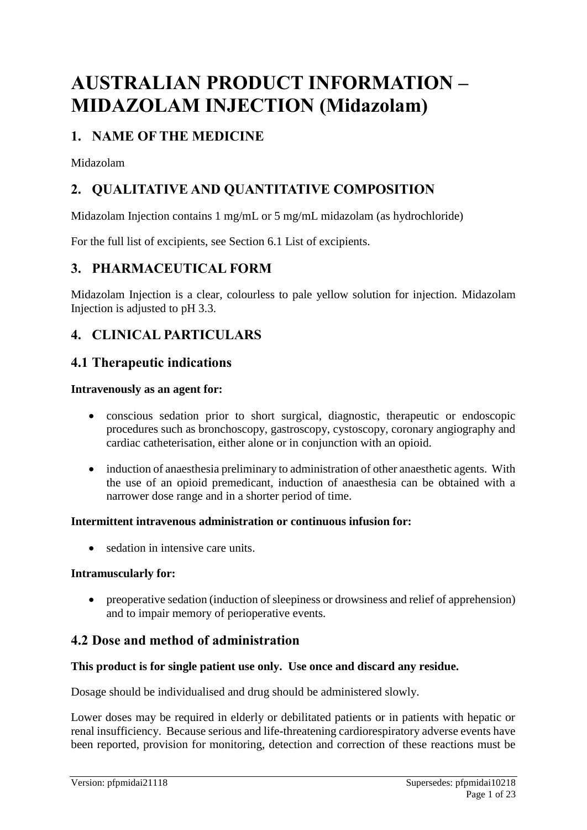# **AUSTRALIAN PRODUCT INFORMATION – MIDAZOLAM INJECTION (Midazolam)**

# **1. NAME OF THE MEDICINE**

Midazolam

# **2. QUALITATIVE AND QUANTITATIVE COMPOSITION**

Midazolam Injection contains 1 mg/mL or 5 mg/mL midazolam (as hydrochloride)

For the full list of excipients, see Section 6.1 List of excipients.

### **3. PHARMACEUTICAL FORM**

Midazolam Injection is a clear, colourless to pale yellow solution for injection. Midazolam Injection is adjusted to pH 3.3.

# **4. CLINICAL PARTICULARS**

### **4.1 Therapeutic indications**

#### **Intravenously as an agent for:**

- conscious sedation prior to short surgical, diagnostic, therapeutic or endoscopic procedures such as bronchoscopy, gastroscopy, cystoscopy, coronary angiography and cardiac catheterisation, either alone or in conjunction with an opioid.
- induction of anaesthesia preliminary to administration of other anaesthetic agents. With the use of an opioid premedicant, induction of anaesthesia can be obtained with a narrower dose range and in a shorter period of time.

#### **Intermittent intravenous administration or continuous infusion for:**

• sedation in intensive care units.

#### **Intramuscularly for:**

• preoperative sedation (induction of sleepiness or drowsiness and relief of apprehension) and to impair memory of perioperative events.

### **4.2 Dose and method of administration**

#### **This product is for single patient use only. Use once and discard any residue.**

Dosage should be individualised and drug should be administered slowly.

Lower doses may be required in elderly or debilitated patients or in patients with hepatic or renal insufficiency. Because serious and life-threatening cardiorespiratory adverse events have been reported, provision for monitoring, detection and correction of these reactions must be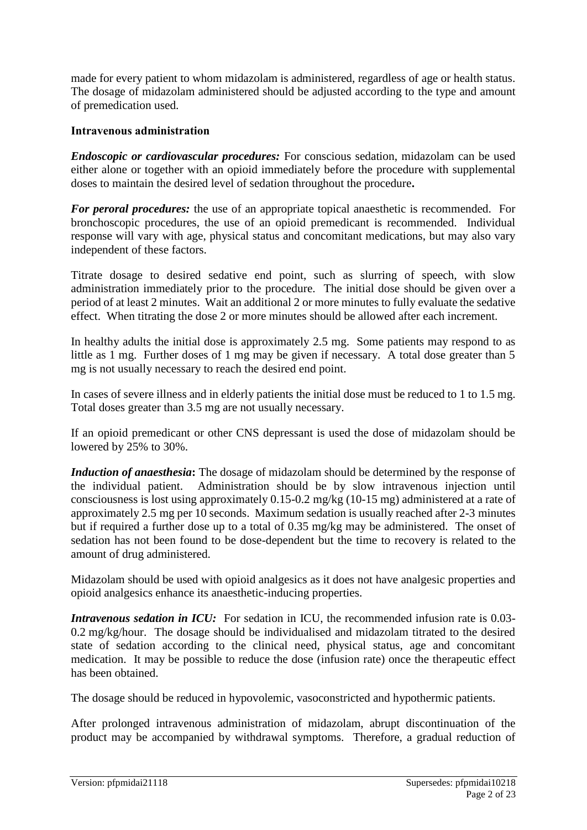made for every patient to whom midazolam is administered, regardless of age or health status. The dosage of midazolam administered should be adjusted according to the type and amount of premedication used.

#### **Intravenous administration**

*Endoscopic or cardiovascular procedures:* For conscious sedation, midazolam can be used either alone or together with an opioid immediately before the procedure with supplemental doses to maintain the desired level of sedation throughout the procedure**.**

*For peroral procedures:* the use of an appropriate topical anaesthetic is recommended. For bronchoscopic procedures, the use of an opioid premedicant is recommended. Individual response will vary with age, physical status and concomitant medications, but may also vary independent of these factors.

Titrate dosage to desired sedative end point, such as slurring of speech, with slow administration immediately prior to the procedure. The initial dose should be given over a period of at least 2 minutes. Wait an additional 2 or more minutes to fully evaluate the sedative effect. When titrating the dose 2 or more minutes should be allowed after each increment.

In healthy adults the initial dose is approximately 2.5 mg. Some patients may respond to as little as 1 mg. Further doses of 1 mg may be given if necessary. A total dose greater than 5 mg is not usually necessary to reach the desired end point.

In cases of severe illness and in elderly patients the initial dose must be reduced to 1 to 1.5 mg. Total doses greater than 3.5 mg are not usually necessary.

If an opioid premedicant or other CNS depressant is used the dose of midazolam should be lowered by 25% to 30%.

*Induction of anaesthesia***:** The dosage of midazolam should be determined by the response of the individual patient. Administration should be by slow intravenous injection until consciousness is lost using approximately 0.15-0.2 mg/kg (10-15 mg) administered at a rate of approximately 2.5 mg per 10 seconds. Maximum sedation is usually reached after 2-3 minutes but if required a further dose up to a total of 0.35 mg/kg may be administered. The onset of sedation has not been found to be dose-dependent but the time to recovery is related to the amount of drug administered.

Midazolam should be used with opioid analgesics as it does not have analgesic properties and opioid analgesics enhance its anaesthetic-inducing properties.

*Intravenous sedation in ICU:* For sedation in ICU, the recommended infusion rate is 0.03-0.2 mg/kg/hour. The dosage should be individualised and midazolam titrated to the desired state of sedation according to the clinical need, physical status, age and concomitant medication. It may be possible to reduce the dose (infusion rate) once the therapeutic effect has been obtained.

The dosage should be reduced in hypovolemic, vasoconstricted and hypothermic patients.

After prolonged intravenous administration of midazolam, abrupt discontinuation of the product may be accompanied by withdrawal symptoms. Therefore, a gradual reduction of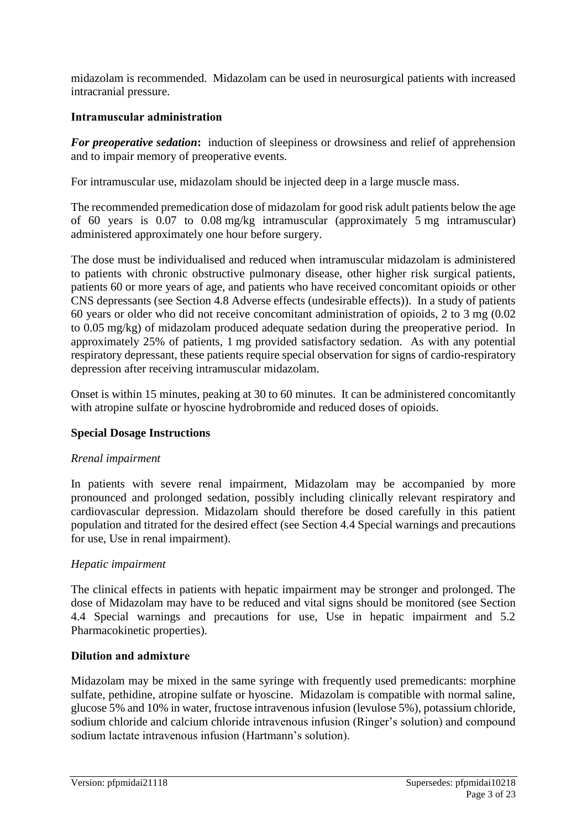midazolam is recommended. Midazolam can be used in neurosurgical patients with increased intracranial pressure.

#### **Intramuscular administration**

**For preoperative sedation:** induction of sleepiness or drowsiness and relief of apprehension and to impair memory of preoperative events.

For intramuscular use, midazolam should be injected deep in a large muscle mass.

The recommended premedication dose of midazolam for good risk adult patients below the age of 60 years is 0.07 to 0.08 mg/kg intramuscular (approximately 5 mg intramuscular) administered approximately one hour before surgery.

The dose must be individualised and reduced when intramuscular midazolam is administered to patients with chronic obstructive pulmonary disease, other higher risk surgical patients, patients 60 or more years of age, and patients who have received concomitant opioids or other CNS depressants (see Section 4.8 Adverse effects (undesirable effects)). In a study of patients 60 years or older who did not receive concomitant administration of opioids, 2 to 3 mg (0.02 to 0.05 mg/kg) of midazolam produced adequate sedation during the preoperative period. In approximately 25% of patients, 1 mg provided satisfactory sedation. As with any potential respiratory depressant, these patients require special observation for signs of cardio-respiratory depression after receiving intramuscular midazolam.

Onset is within 15 minutes, peaking at 30 to 60 minutes. It can be administered concomitantly with atropine sulfate or hyoscine hydrobromide and reduced doses of opioids.

#### **Special Dosage Instructions**

#### *Rrenal impairment*

In patients with severe renal impairment, Midazolam may be accompanied by more pronounced and prolonged sedation, possibly including clinically relevant respiratory and cardiovascular depression. Midazolam should therefore be dosed carefully in this patient population and titrated for the desired effect (see Section 4.4 Special warnings and precautions for use, Use in renal impairment).

#### *Hepatic impairment*

The clinical effects in patients with hepatic impairment may be stronger and prolonged. The dose of Midazolam may have to be reduced and vital signs should be monitored (see Section 4.4 Special warnings and precautions for use, Use in hepatic impairment and 5.2 Pharmacokinetic properties).

#### **Dilution and admixture**

Midazolam may be mixed in the same syringe with frequently used premedicants: morphine sulfate, pethidine, atropine sulfate or hyoscine. Midazolam is compatible with normal saline, glucose 5% and 10% in water, fructose intravenous infusion (levulose 5%), potassium chloride, sodium chloride and calcium chloride intravenous infusion (Ringer's solution) and compound sodium lactate intravenous infusion (Hartmann's solution).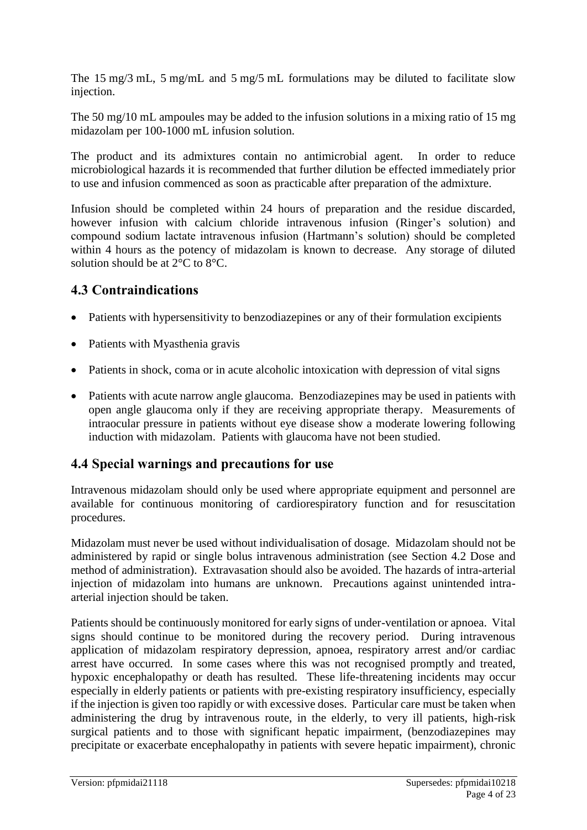The 15 mg/3 mL, 5 mg/mL and 5 mg/5 mL formulations may be diluted to facilitate slow injection.

The 50 mg/10 mL ampoules may be added to the infusion solutions in a mixing ratio of 15 mg midazolam per 100-1000 mL infusion solution.

The product and its admixtures contain no antimicrobial agent. In order to reduce microbiological hazards it is recommended that further dilution be effected immediately prior to use and infusion commenced as soon as practicable after preparation of the admixture.

Infusion should be completed within 24 hours of preparation and the residue discarded, however infusion with calcium chloride intravenous infusion (Ringer's solution) and compound sodium lactate intravenous infusion (Hartmann's solution) should be completed within 4 hours as the potency of midazolam is known to decrease. Any storage of diluted solution should be at 2°C to 8°C.

### **4.3 Contraindications**

- Patients with hypersensitivity to benzodiazepines or any of their formulation excipients
- Patients with Myasthenia gravis
- Patients in shock, coma or in acute alcoholic intoxication with depression of vital signs
- Patients with acute narrow angle glaucoma. Benzodiazepines may be used in patients with open angle glaucoma only if they are receiving appropriate therapy. Measurements of intraocular pressure in patients without eye disease show a moderate lowering following induction with midazolam. Patients with glaucoma have not been studied.

### **4.4 Special warnings and precautions for use**

Intravenous midazolam should only be used where appropriate equipment and personnel are available for continuous monitoring of cardiorespiratory function and for resuscitation procedures.

Midazolam must never be used without individualisation of dosage. Midazolam should not be administered by rapid or single bolus intravenous administration (see Section 4.2 Dose and method of administration). Extravasation should also be avoided. The hazards of intra-arterial injection of midazolam into humans are unknown. Precautions against unintended intraarterial injection should be taken.

Patients should be continuously monitored for early signs of under-ventilation or apnoea. Vital signs should continue to be monitored during the recovery period. During intravenous application of midazolam respiratory depression, apnoea, respiratory arrest and/or cardiac arrest have occurred. In some cases where this was not recognised promptly and treated, hypoxic encephalopathy or death has resulted. These life-threatening incidents may occur especially in elderly patients or patients with pre-existing respiratory insufficiency, especially if the injection is given too rapidly or with excessive doses. Particular care must be taken when administering the drug by intravenous route, in the elderly, to very ill patients, high-risk surgical patients and to those with significant hepatic impairment, (benzodiazepines may precipitate or exacerbate encephalopathy in patients with severe hepatic impairment), chronic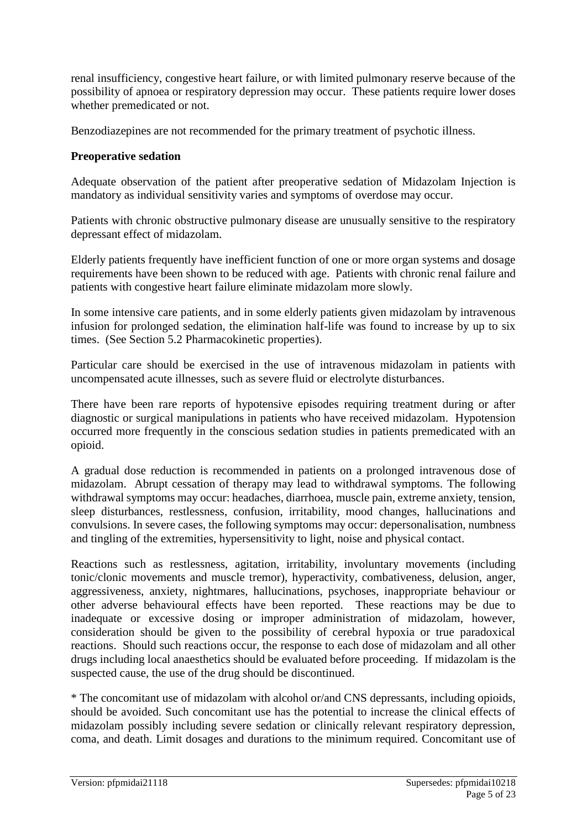renal insufficiency, congestive heart failure, or with limited pulmonary reserve because of the possibility of apnoea or respiratory depression may occur. These patients require lower doses whether premedicated or not.

Benzodiazepines are not recommended for the primary treatment of psychotic illness.

#### **Preoperative sedation**

Adequate observation of the patient after preoperative sedation of Midazolam Injection is mandatory as individual sensitivity varies and symptoms of overdose may occur.

Patients with chronic obstructive pulmonary disease are unusually sensitive to the respiratory depressant effect of midazolam.

Elderly patients frequently have inefficient function of one or more organ systems and dosage requirements have been shown to be reduced with age. Patients with chronic renal failure and patients with congestive heart failure eliminate midazolam more slowly.

In some intensive care patients, and in some elderly patients given midazolam by intravenous infusion for prolonged sedation, the elimination half-life was found to increase by up to six times. (See Section 5.2 Pharmacokinetic properties).

Particular care should be exercised in the use of intravenous midazolam in patients with uncompensated acute illnesses, such as severe fluid or electrolyte disturbances.

There have been rare reports of hypotensive episodes requiring treatment during or after diagnostic or surgical manipulations in patients who have received midazolam. Hypotension occurred more frequently in the conscious sedation studies in patients premedicated with an opioid.

A gradual dose reduction is recommended in patients on a prolonged intravenous dose of midazolam. Abrupt cessation of therapy may lead to withdrawal symptoms. The following withdrawal symptoms may occur: headaches, diarrhoea, muscle pain, extreme anxiety, tension, sleep disturbances, restlessness, confusion, irritability, mood changes, hallucinations and convulsions. In severe cases, the following symptoms may occur: depersonalisation, numbness and tingling of the extremities, hypersensitivity to light, noise and physical contact.

Reactions such as restlessness, agitation, irritability, involuntary movements (including tonic/clonic movements and muscle tremor), hyperactivity, combativeness, delusion, anger, aggressiveness, anxiety, nightmares, hallucinations, psychoses, inappropriate behaviour or other adverse behavioural effects have been reported. These reactions may be due to inadequate or excessive dosing or improper administration of midazolam, however, consideration should be given to the possibility of cerebral hypoxia or true paradoxical reactions. Should such reactions occur, the response to each dose of midazolam and all other drugs including local anaesthetics should be evaluated before proceeding. If midazolam is the suspected cause, the use of the drug should be discontinued.

\* The concomitant use of midazolam with alcohol or/and CNS depressants, including opioids, should be avoided. Such concomitant use has the potential to increase the clinical effects of midazolam possibly including severe sedation or clinically relevant respiratory depression, coma, and death. Limit dosages and durations to the minimum required. Concomitant use of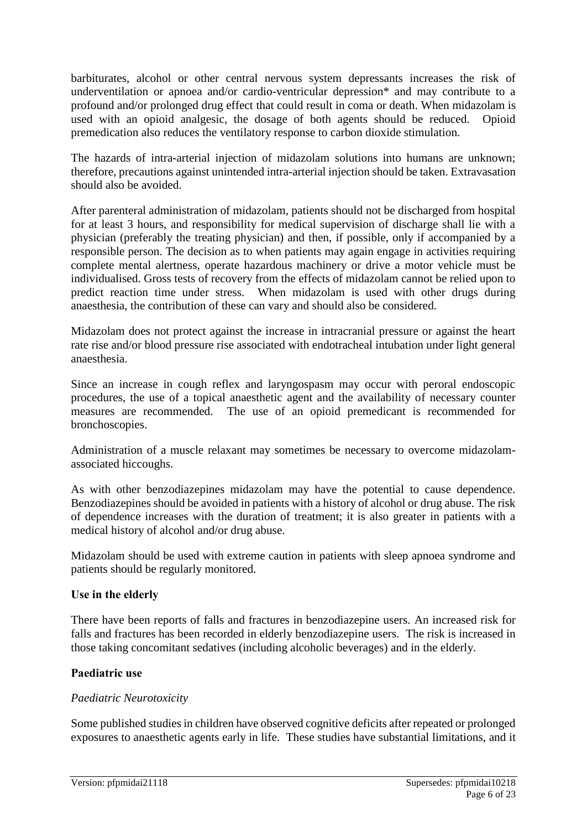barbiturates, alcohol or other central nervous system depressants increases the risk of underventilation or apnoea and/or cardio-ventricular depression\* and may contribute to a profound and/or prolonged drug effect that could result in coma or death. When midazolam is used with an opioid analgesic, the dosage of both agents should be reduced. Opioid premedication also reduces the ventilatory response to carbon dioxide stimulation.

The hazards of intra-arterial injection of midazolam solutions into humans are unknown; therefore, precautions against unintended intra-arterial injection should be taken. Extravasation should also be avoided.

After parenteral administration of midazolam, patients should not be discharged from hospital for at least 3 hours, and responsibility for medical supervision of discharge shall lie with a physician (preferably the treating physician) and then, if possible, only if accompanied by a responsible person. The decision as to when patients may again engage in activities requiring complete mental alertness, operate hazardous machinery or drive a motor vehicle must be individualised. Gross tests of recovery from the effects of midazolam cannot be relied upon to predict reaction time under stress. When midazolam is used with other drugs during anaesthesia, the contribution of these can vary and should also be considered.

Midazolam does not protect against the increase in intracranial pressure or against the heart rate rise and/or blood pressure rise associated with endotracheal intubation under light general anaesthesia.

Since an increase in cough reflex and laryngospasm may occur with peroral endoscopic procedures, the use of a topical anaesthetic agent and the availability of necessary counter measures are recommended. The use of an opioid premedicant is recommended for bronchoscopies.

Administration of a muscle relaxant may sometimes be necessary to overcome midazolamassociated hiccoughs.

As with other benzodiazepines midazolam may have the potential to cause dependence. Benzodiazepines should be avoided in patients with a history of alcohol or drug abuse. The risk of dependence increases with the duration of treatment; it is also greater in patients with a medical history of alcohol and/or drug abuse.

Midazolam should be used with extreme caution in patients with sleep apnoea syndrome and patients should be regularly monitored.

#### **Use in the elderly**

There have been reports of falls and fractures in benzodiazepine users. An increased risk for falls and fractures has been recorded in elderly benzodiazepine users. The risk is increased in those taking concomitant sedatives (including alcoholic beverages) and in the elderly.

#### **Paediatric use**

#### *Paediatric Neurotoxicity*

Some published studies in children have observed cognitive deficits after repeated or prolonged exposures to anaesthetic agents early in life. These studies have substantial limitations, and it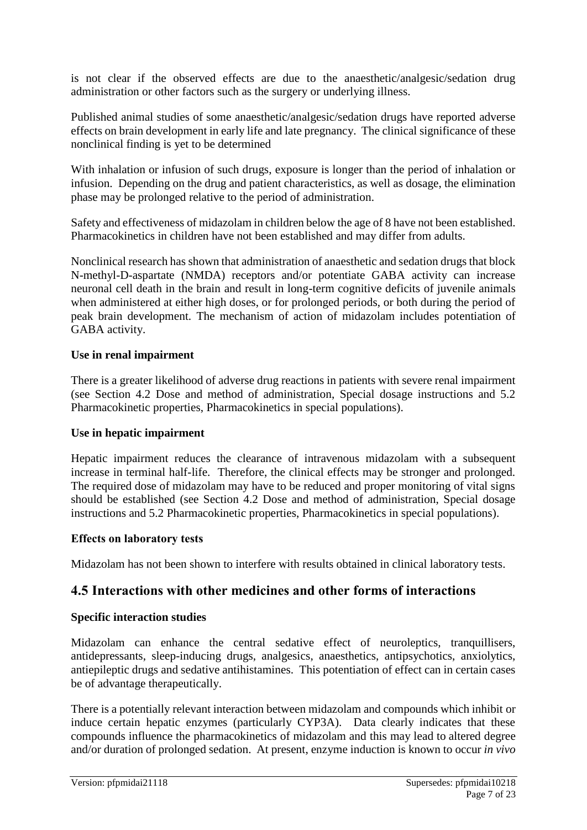is not clear if the observed effects are due to the anaesthetic/analgesic/sedation drug administration or other factors such as the surgery or underlying illness.

Published animal studies of some anaesthetic/analgesic/sedation drugs have reported adverse effects on brain development in early life and late pregnancy. The clinical significance of these nonclinical finding is yet to be determined

With inhalation or infusion of such drugs, exposure is longer than the period of inhalation or infusion. Depending on the drug and patient characteristics, as well as dosage, the elimination phase may be prolonged relative to the period of administration.

Safety and effectiveness of midazolam in children below the age of 8 have not been established. Pharmacokinetics in children have not been established and may differ from adults.

Nonclinical research has shown that administration of anaesthetic and sedation drugs that block N-methyl-D-aspartate (NMDA) receptors and/or potentiate GABA activity can increase neuronal cell death in the brain and result in long-term cognitive deficits of juvenile animals when administered at either high doses, or for prolonged periods, or both during the period of peak brain development. The mechanism of action of midazolam includes potentiation of GABA activity.

#### **Use in renal impairment**

There is a greater likelihood of adverse drug reactions in patients with severe renal impairment (see Section 4.2 Dose and method of administration, Special dosage instructions and 5.2 Pharmacokinetic properties, Pharmacokinetics in special populations).

#### **Use in hepatic impairment**

Hepatic impairment reduces the clearance of intravenous midazolam with a subsequent increase in terminal half-life. Therefore, the clinical effects may be stronger and prolonged. The required dose of midazolam may have to be reduced and proper monitoring of vital signs should be established (see Section 4.2 Dose and method of administration, Special dosage instructions and 5.2 Pharmacokinetic properties, Pharmacokinetics in special populations).

#### **Effects on laboratory tests**

Midazolam has not been shown to interfere with results obtained in clinical laboratory tests.

### **4.5 Interactions with other medicines and other forms of interactions**

#### **Specific interaction studies**

Midazolam can enhance the central sedative effect of neuroleptics, tranquillisers, antidepressants, sleep-inducing drugs, analgesics, anaesthetics, antipsychotics, anxiolytics, antiepileptic drugs and sedative antihistamines. This potentiation of effect can in certain cases be of advantage therapeutically.

There is a potentially relevant interaction between midazolam and compounds which inhibit or induce certain hepatic enzymes (particularly CYP3A). Data clearly indicates that these compounds influence the pharmacokinetics of midazolam and this may lead to altered degree and/or duration of prolonged sedation. At present, enzyme induction is known to occur *in vivo*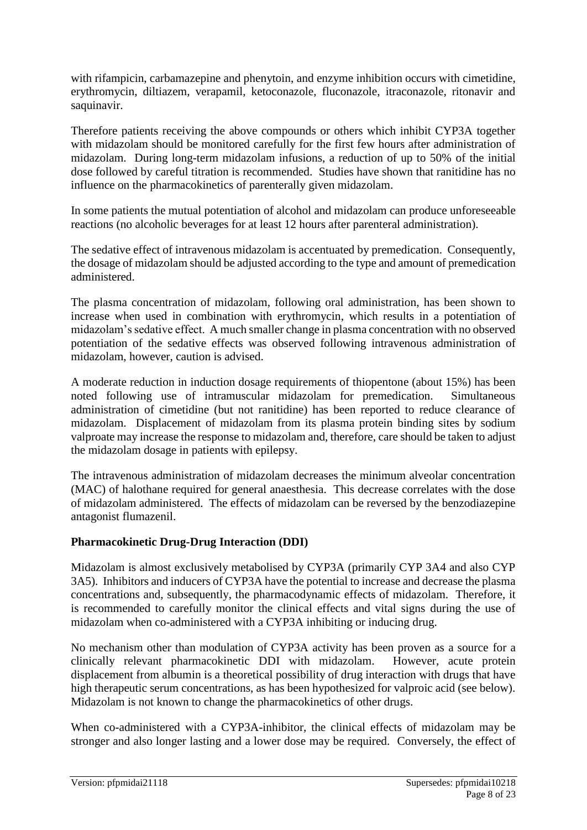with rifampicin, carbamazepine and phenytoin, and enzyme inhibition occurs with cimetidine, erythromycin, diltiazem, verapamil, ketoconazole, fluconazole, itraconazole, ritonavir and saquinavir.

Therefore patients receiving the above compounds or others which inhibit CYP3A together with midazolam should be monitored carefully for the first few hours after administration of midazolam. During long-term midazolam infusions, a reduction of up to 50% of the initial dose followed by careful titration is recommended. Studies have shown that ranitidine has no influence on the pharmacokinetics of parenterally given midazolam.

In some patients the mutual potentiation of alcohol and midazolam can produce unforeseeable reactions (no alcoholic beverages for at least 12 hours after parenteral administration).

The sedative effect of intravenous midazolam is accentuated by premedication. Consequently, the dosage of midazolam should be adjusted according to the type and amount of premedication administered.

The plasma concentration of midazolam, following oral administration, has been shown to increase when used in combination with erythromycin, which results in a potentiation of midazolam's sedative effect. A much smaller change in plasma concentration with no observed potentiation of the sedative effects was observed following intravenous administration of midazolam, however, caution is advised.

A moderate reduction in induction dosage requirements of thiopentone (about 15%) has been noted following use of intramuscular midazolam for premedication. Simultaneous administration of cimetidine (but not ranitidine) has been reported to reduce clearance of midazolam. Displacement of midazolam from its plasma protein binding sites by sodium valproate may increase the response to midazolam and, therefore, care should be taken to adjust the midazolam dosage in patients with epilepsy.

The intravenous administration of midazolam decreases the minimum alveolar concentration (MAC) of halothane required for general anaesthesia. This decrease correlates with the dose of midazolam administered. The effects of midazolam can be reversed by the benzodiazepine antagonist flumazenil.

#### **Pharmacokinetic Drug-Drug Interaction (DDI)**

Midazolam is almost exclusively metabolised by CYP3A (primarily CYP 3A4 and also CYP 3A5). Inhibitors and inducers of CYP3A have the potential to increase and decrease the plasma concentrations and, subsequently, the pharmacodynamic effects of midazolam. Therefore, it is recommended to carefully monitor the clinical effects and vital signs during the use of midazolam when co-administered with a CYP3A inhibiting or inducing drug.

No mechanism other than modulation of CYP3A activity has been proven as a source for a clinically relevant pharmacokinetic DDI with midazolam. However, acute protein displacement from albumin is a theoretical possibility of drug interaction with drugs that have high therapeutic serum concentrations, as has been hypothesized for valproic acid (see below). Midazolam is not known to change the pharmacokinetics of other drugs.

When co-administered with a CYP3A-inhibitor, the clinical effects of midazolam may be stronger and also longer lasting and a lower dose may be required. Conversely, the effect of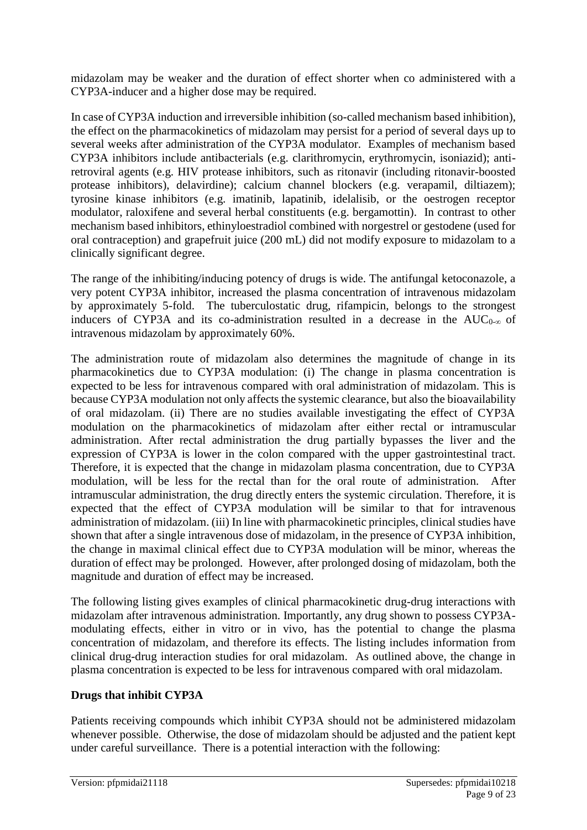midazolam may be weaker and the duration of effect shorter when co administered with a CYP3A-inducer and a higher dose may be required.

In case of CYP3A induction and irreversible inhibition (so-called mechanism based inhibition), the effect on the pharmacokinetics of midazolam may persist for a period of several days up to several weeks after administration of the CYP3A modulator. Examples of mechanism based CYP3A inhibitors include antibacterials (e.g. clarithromycin, erythromycin, isoniazid); antiretroviral agents (e.g. HIV protease inhibitors, such as ritonavir (including ritonavir-boosted protease inhibitors), delavirdine); calcium channel blockers (e.g. verapamil, diltiazem); tyrosine kinase inhibitors (e.g. imatinib, lapatinib, idelalisib, or the oestrogen receptor modulator, raloxifene and several herbal constituents (e.g. bergamottin). In contrast to other mechanism based inhibitors, ethinyloestradiol combined with norgestrel or gestodene (used for oral contraception) and grapefruit juice (200 mL) did not modify exposure to midazolam to a clinically significant degree.

The range of the inhibiting/inducing potency of drugs is wide. The antifungal ketoconazole, a very potent CYP3A inhibitor, increased the plasma concentration of intravenous midazolam by approximately 5-fold. The tuberculostatic drug, rifampicin, belongs to the strongest inducers of CYP3A and its co-administration resulted in a decrease in the  $AUC_{0-\infty}$  of intravenous midazolam by approximately 60%.

The administration route of midazolam also determines the magnitude of change in its pharmacokinetics due to CYP3A modulation: (i) The change in plasma concentration is expected to be less for intravenous compared with oral administration of midazolam. This is because CYP3A modulation not only affects the systemic clearance, but also the bioavailability of oral midazolam. (ii) There are no studies available investigating the effect of CYP3A modulation on the pharmacokinetics of midazolam after either rectal or intramuscular administration. After rectal administration the drug partially bypasses the liver and the expression of CYP3A is lower in the colon compared with the upper gastrointestinal tract. Therefore, it is expected that the change in midazolam plasma concentration, due to CYP3A modulation, will be less for the rectal than for the oral route of administration. After intramuscular administration, the drug directly enters the systemic circulation. Therefore, it is expected that the effect of CYP3A modulation will be similar to that for intravenous administration of midazolam. (iii) In line with pharmacokinetic principles, clinical studies have shown that after a single intravenous dose of midazolam, in the presence of CYP3A inhibition, the change in maximal clinical effect due to CYP3A modulation will be minor, whereas the duration of effect may be prolonged. However, after prolonged dosing of midazolam, both the magnitude and duration of effect may be increased.

The following listing gives examples of clinical pharmacokinetic drug-drug interactions with midazolam after intravenous administration. Importantly, any drug shown to possess CYP3Amodulating effects, either in vitro or in vivo, has the potential to change the plasma concentration of midazolam, and therefore its effects. The listing includes information from clinical drug-drug interaction studies for oral midazolam. As outlined above, the change in plasma concentration is expected to be less for intravenous compared with oral midazolam.

#### **Drugs that inhibit CYP3A**

Patients receiving compounds which inhibit CYP3A should not be administered midazolam whenever possible. Otherwise, the dose of midazolam should be adjusted and the patient kept under careful surveillance. There is a potential interaction with the following: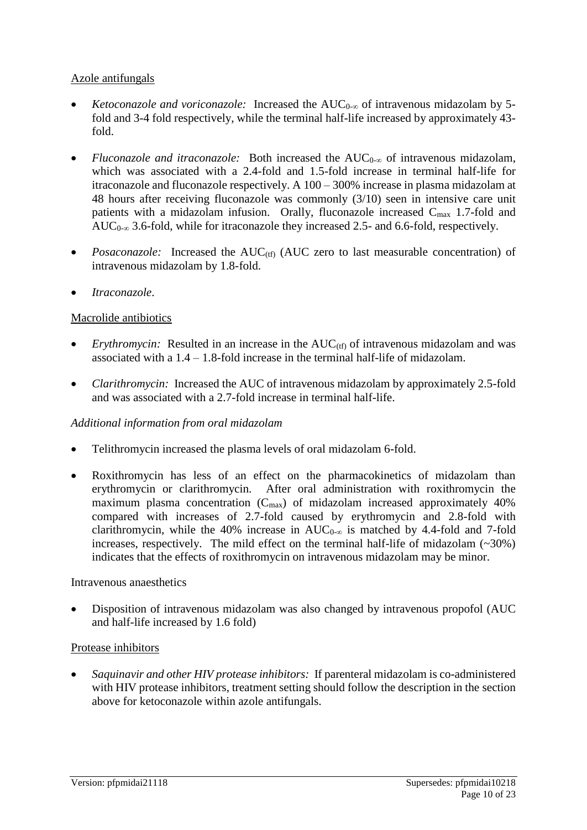#### Azole antifungals

- *Ketoconazole and voriconazole:* Increased the AUC<sub>0∞</sub> of intravenous midazolam by 5fold and 3-4 fold respectively, while the terminal half-life increased by approximately 43 fold.
- *Fluconazole and itraconazole:* Both increased the AUC0-∞ of intravenous midazolam, which was associated with a 2.4-fold and 1.5-fold increase in terminal half-life for itraconazole and fluconazole respectively. A 100 – 300% increase in plasma midazolam at 48 hours after receiving fluconazole was commonly (3/10) seen in intensive care unit patients with a midazolam infusion. Orally, fluconazole increased  $C_{\text{max}}$  1.7-fold and AUC $_{0-\infty}$  3.6-fold, while for itraconazole they increased 2.5- and 6.6-fold, respectively.
- *Posaconazole:* Increased the AUC(tf) (AUC zero to last measurable concentration) of intravenous midazolam by 1.8-fold.
- *Itraconazole*.

#### Macrolide antibiotics

- *Erythromycin:* Resulted in an increase in the  $AUC_{(tf)}$  of intravenous midazolam and was associated with a  $1.4 - 1.8$ -fold increase in the terminal half-life of midazolam.
- *Clarithromycin:* Increased the AUC of intravenous midazolam by approximately 2.5-fold and was associated with a 2.7-fold increase in terminal half-life.

#### *Additional information from oral midazolam*

- Telithromycin increased the plasma levels of oral midazolam 6-fold.
- Roxithromycin has less of an effect on the pharmacokinetics of midazolam than erythromycin or clarithromycin. After oral administration with roxithromycin the maximum plasma concentration  $(C_{\text{max}})$  of midazolam increased approximately 40% compared with increases of 2.7-fold caused by erythromycin and 2.8-fold with clarithromycin, while the 40% increase in  $AUC_{0-\infty}$  is matched by 4.4-fold and 7-fold increases, respectively. The mild effect on the terminal half-life of midazolam  $(\sim 30\%)$ indicates that the effects of roxithromycin on intravenous midazolam may be minor.

#### Intravenous anaesthetics

• Disposition of intravenous midazolam was also changed by intravenous propofol (AUC and half-life increased by 1.6 fold)

#### Protease inhibitors

• *Saquinavir and other HIV protease inhibitors:* If parenteral midazolam is co-administered with HIV protease inhibitors, treatment setting should follow the description in the section above for ketoconazole within azole antifungals.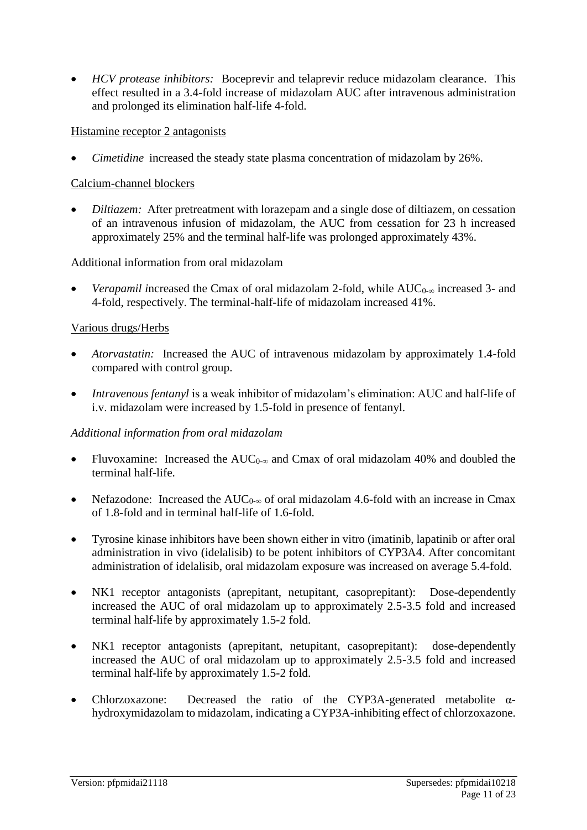• *HCV protease inhibitors:* Boceprevir and telaprevir reduce midazolam clearance. This effect resulted in a 3.4-fold increase of midazolam AUC after intravenous administration and prolonged its elimination half-life 4-fold.

#### Histamine receptor 2 antagonists

• *Cimetidine* increased the steady state plasma concentration of midazolam by 26%.

#### Calcium-channel blockers

• *Diltiazem:* After pretreatment with lorazepam and a single dose of diltiazem, on cessation of an intravenous infusion of midazolam, the AUC from cessation for 23 h increased approximately 25% and the terminal half-life was prolonged approximately 43%.

#### Additional information from oral midazolam

*Verapamil* increased the Cmax of oral midazolam 2-fold, while  $AUC_{0-\infty}$  increased 3- and 4-fold, respectively. The terminal-half-life of midazolam increased 41%.

#### Various drugs/Herbs

- *Atorvastatin:* Increased the AUC of intravenous midazolam by approximately 1.4-fold compared with control group.
- *Intravenous fentanyl* is a weak inhibitor of midazolam's elimination: AUC and half-life of i.v. midazolam were increased by 1.5-fold in presence of fentanyl.

#### *Additional information from oral midazolam*

- Fluvoxamine: Increased the AUC0-∞ and Cmax of oral midazolam 40% and doubled the terminal half-life.
- Nefazodone: Increased the  $AUC_{0-\infty}$  of oral midazolam 4.6-fold with an increase in Cmax of 1.8-fold and in terminal half-life of 1.6-fold.
- Tyrosine kinase inhibitors have been shown either in vitro (imatinib, lapatinib or after oral administration in vivo (idelalisib) to be potent inhibitors of CYP3A4. After concomitant administration of idelalisib, oral midazolam exposure was increased on average 5.4-fold.
- NK1 receptor antagonists (aprepitant, netupitant, casoprepitant): Dose-dependently increased the AUC of oral midazolam up to approximately 2.5-3.5 fold and increased terminal half-life by approximately 1.5-2 fold.
- NK1 receptor antagonists (aprepitant, netupitant, casoprepitant): dose-dependently increased the AUC of oral midazolam up to approximately 2.5-3.5 fold and increased terminal half-life by approximately 1.5-2 fold.
- Chlorzoxazone: Decreased the ratio of the CYP3A-generated metabolite  $\alpha$ hydroxymidazolam to midazolam, indicating a CYP3A-inhibiting effect of chlorzoxazone.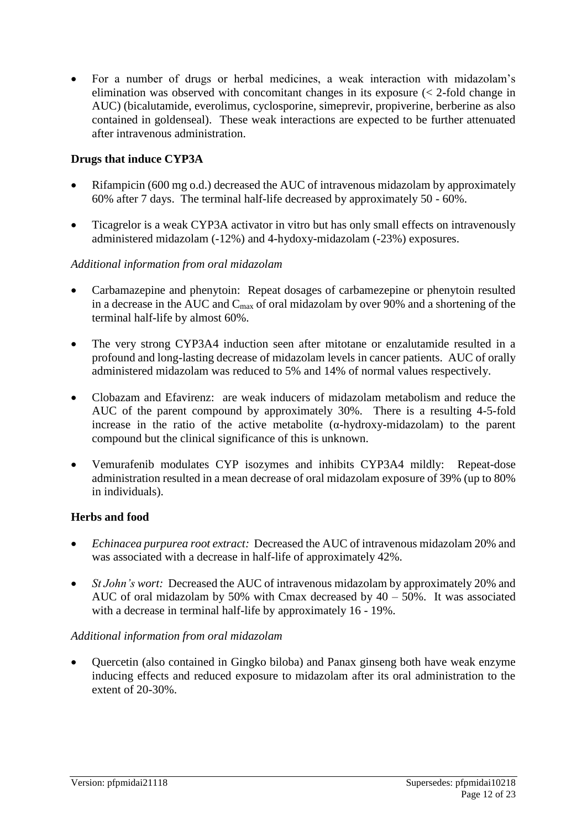• For a number of drugs or herbal medicines, a weak interaction with midazolam's elimination was observed with concomitant changes in its exposure (< 2-fold change in AUC) (bicalutamide, everolimus, cyclosporine, simeprevir, propiverine, berberine as also contained in goldenseal). These weak interactions are expected to be further attenuated after intravenous administration.

#### **Drugs that induce CYP3A**

- Rifampicin (600 mg o.d.) decreased the AUC of intravenous midazolam by approximately 60% after 7 days. The terminal half-life decreased by approximately 50 - 60%.
- Ticagrelor is a weak CYP3A activator in vitro but has only small effects on intravenously administered midazolam (-12%) and 4-hydoxy-midazolam (-23%) exposures.

#### *Additional information from oral midazolam*

- Carbamazepine and phenytoin: Repeat dosages of carbamezepine or phenytoin resulted in a decrease in the AUC and  $C_{\text{max}}$  of oral midazolam by over 90% and a shortening of the terminal half-life by almost 60%.
- The very strong CYP3A4 induction seen after mitotane or enzalutamide resulted in a profound and long-lasting decrease of midazolam levels in cancer patients. AUC of orally administered midazolam was reduced to 5% and 14% of normal values respectively.
- Clobazam and Efavirenz: are weak inducers of midazolam metabolism and reduce the AUC of the parent compound by approximately 30%. There is a resulting 4-5-fold increase in the ratio of the active metabolite  $(\alpha$ -hydroxy-midazolam) to the parent compound but the clinical significance of this is unknown.
- Vemurafenib modulates CYP isozymes and inhibits CYP3A4 mildly: Repeat-dose administration resulted in a mean decrease of oral midazolam exposure of 39% (up to 80% in individuals).

#### **Herbs and food**

- *Echinacea purpurea root extract:* Decreased the AUC of intravenous midazolam 20% and was associated with a decrease in half-life of approximately 42%.
- *St John's wort:* Decreased the AUC of intravenous midazolam by approximately 20% and AUC of oral midazolam by 50% with Cmax decreased by  $40 - 50$ %. It was associated with a decrease in terminal half-life by approximately 16 - 19%.

#### *Additional information from oral midazolam*

• Quercetin (also contained in Gingko biloba) and Panax ginseng both have weak enzyme inducing effects and reduced exposure to midazolam after its oral administration to the extent of 20-30%.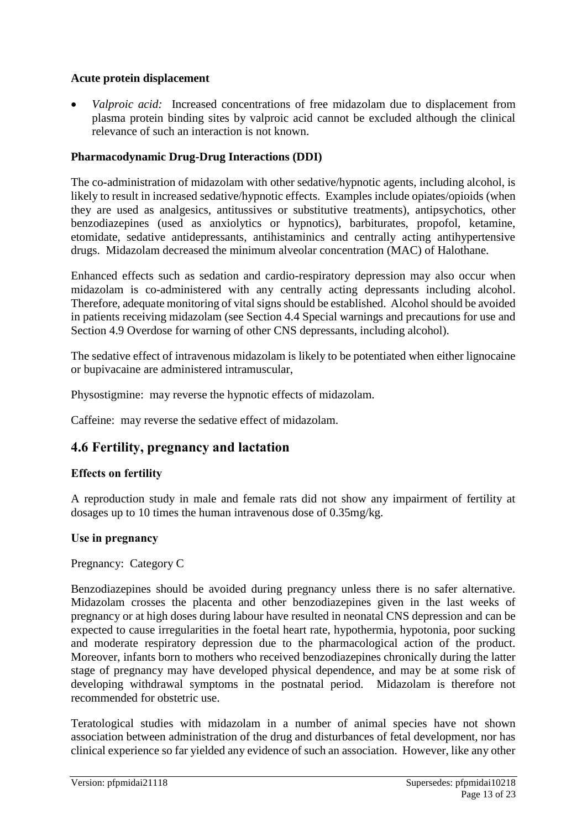#### **Acute protein displacement**

• *Valproic acid:* Increased concentrations of free midazolam due to displacement from plasma protein binding sites by valproic acid cannot be excluded although the clinical relevance of such an interaction is not known.

#### **Pharmacodynamic Drug-Drug Interactions (DDI)**

The co-administration of midazolam with other sedative/hypnotic agents, including alcohol, is likely to result in increased sedative/hypnotic effects. Examples include opiates/opioids (when they are used as analgesics, antitussives or substitutive treatments), antipsychotics, other benzodiazepines (used as anxiolytics or hypnotics), barbiturates, propofol, ketamine, etomidate, sedative antidepressants, antihistaminics and centrally acting antihypertensive drugs. Midazolam decreased the minimum alveolar concentration (MAC) of Halothane.

Enhanced effects such as sedation and cardio-respiratory depression may also occur when midazolam is co-administered with any centrally acting depressants including alcohol. Therefore, adequate monitoring of vital signs should be established. Alcohol should be avoided in patients receiving midazolam (see Section 4.4 Special warnings and precautions for use and Section 4.9 Overdose for warning of other CNS depressants, including alcohol).

The sedative effect of intravenous midazolam is likely to be potentiated when either lignocaine or bupivacaine are administered intramuscular,

Physostigmine: may reverse the hypnotic effects of midazolam.

Caffeine: may reverse the sedative effect of midazolam.

### **4.6 Fertility, pregnancy and lactation**

#### **Effects on fertility**

A reproduction study in male and female rats did not show any impairment of fertility at dosages up to 10 times the human intravenous dose of 0.35mg/kg.

#### **Use in pregnancy**

Pregnancy: Category C

Benzodiazepines should be avoided during pregnancy unless there is no safer alternative. Midazolam crosses the placenta and other benzodiazepines given in the last weeks of pregnancy or at high doses during labour have resulted in neonatal CNS depression and can be expected to cause irregularities in the foetal heart rate, hypothermia, hypotonia, poor sucking and moderate respiratory depression due to the pharmacological action of the product. Moreover, infants born to mothers who received benzodiazepines chronically during the latter stage of pregnancy may have developed physical dependence, and may be at some risk of developing withdrawal symptoms in the postnatal period. Midazolam is therefore not recommended for obstetric use.

Teratological studies with midazolam in a number of animal species have not shown association between administration of the drug and disturbances of fetal development, nor has clinical experience so far yielded any evidence of such an association. However, like any other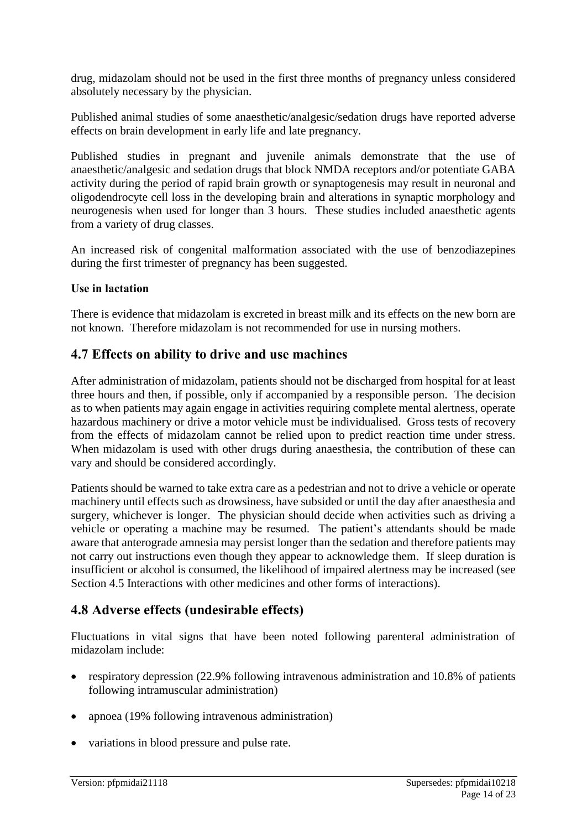drug, midazolam should not be used in the first three months of pregnancy unless considered absolutely necessary by the physician.

Published animal studies of some anaesthetic/analgesic/sedation drugs have reported adverse effects on brain development in early life and late pregnancy.

Published studies in pregnant and juvenile animals demonstrate that the use of anaesthetic/analgesic and sedation drugs that block NMDA receptors and/or potentiate GABA activity during the period of rapid brain growth or synaptogenesis may result in neuronal and oligodendrocyte cell loss in the developing brain and alterations in synaptic morphology and neurogenesis when used for longer than 3 hours. These studies included anaesthetic agents from a variety of drug classes.

An increased risk of congenital malformation associated with the use of benzodiazepines during the first trimester of pregnancy has been suggested.

#### **Use in lactation**

There is evidence that midazolam is excreted in breast milk and its effects on the new born are not known. Therefore midazolam is not recommended for use in nursing mothers.

### **4.7 Effects on ability to drive and use machines**

After administration of midazolam, patients should not be discharged from hospital for at least three hours and then, if possible, only if accompanied by a responsible person. The decision as to when patients may again engage in activities requiring complete mental alertness, operate hazardous machinery or drive a motor vehicle must be individualised. Gross tests of recovery from the effects of midazolam cannot be relied upon to predict reaction time under stress. When midazolam is used with other drugs during anaesthesia, the contribution of these can vary and should be considered accordingly.

Patients should be warned to take extra care as a pedestrian and not to drive a vehicle or operate machinery until effects such as drowsiness, have subsided or until the day after anaesthesia and surgery, whichever is longer. The physician should decide when activities such as driving a vehicle or operating a machine may be resumed. The patient's attendants should be made aware that anterograde amnesia may persist longer than the sedation and therefore patients may not carry out instructions even though they appear to acknowledge them. If sleep duration is insufficient or alcohol is consumed, the likelihood of impaired alertness may be increased (see Section 4.5 Interactions with other medicines and other forms of interactions).

### **4.8 Adverse effects (undesirable effects)**

Fluctuations in vital signs that have been noted following parenteral administration of midazolam include:

- respiratory depression (22.9% following intravenous administration and 10.8% of patients following intramuscular administration)
- apnoea (19% following intravenous administration)
- variations in blood pressure and pulse rate.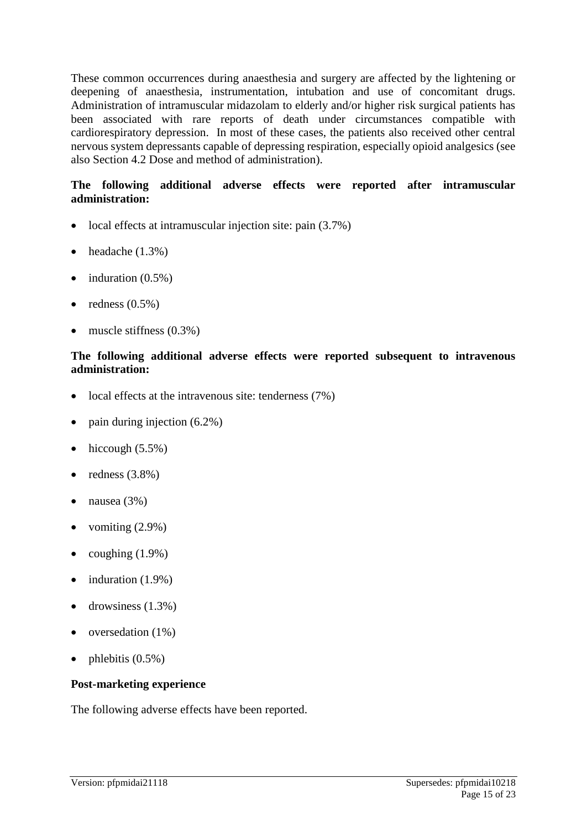These common occurrences during anaesthesia and surgery are affected by the lightening or deepening of anaesthesia, instrumentation, intubation and use of concomitant drugs. Administration of intramuscular midazolam to elderly and/or higher risk surgical patients has been associated with rare reports of death under circumstances compatible with cardiorespiratory depression. In most of these cases, the patients also received other central nervous system depressants capable of depressing respiration, especially opioid analgesics (see also Section 4.2 Dose and method of administration).

#### **The following additional adverse effects were reported after intramuscular administration:**

- local effects at intramuscular injection site: pain  $(3.7\%)$
- headache  $(1.3\%)$
- $\bullet$  induration  $(0.5\%)$
- redness  $(0.5\%)$
- muscle stiffness  $(0.3\%)$

#### **The following additional adverse effects were reported subsequent to intravenous administration:**

- local effects at the intravenous site: tenderness (7%)
- pain during injection (6.2%)
- hiccough  $(5.5\%)$
- redness  $(3.8\%)$
- nausea (3%)
- vomiting  $(2.9\%)$
- coughing  $(1.9\%)$
- $\bullet$  induration  $(1.9\%)$
- drowsiness  $(1.3\%)$
- oversedation (1%)
- phlebitis  $(0.5\%)$

#### **Post-marketing experience**

The following adverse effects have been reported.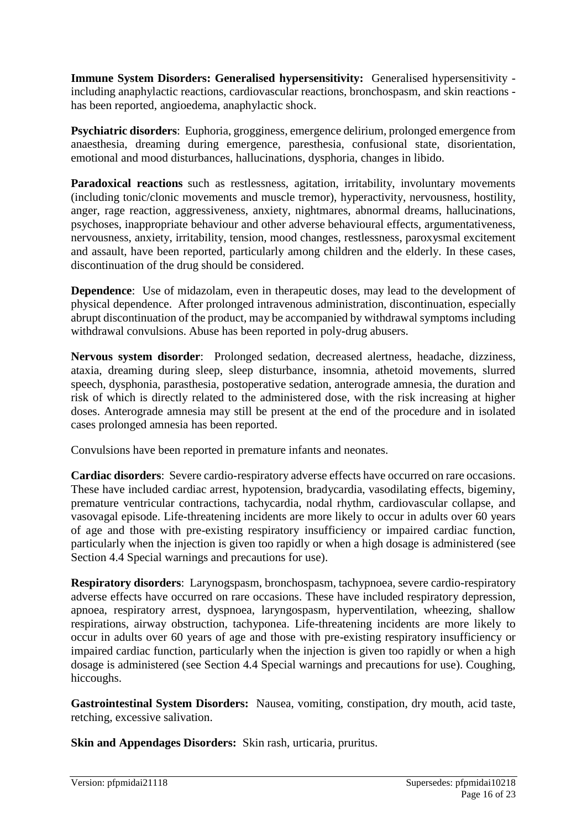**Immune System Disorders: Generalised hypersensitivity:** Generalised hypersensitivity including anaphylactic reactions, cardiovascular reactions, bronchospasm, and skin reactions has been reported, angioedema, anaphylactic shock.

**Psychiatric disorders**: Euphoria, grogginess, emergence delirium, prolonged emergence from anaesthesia, dreaming during emergence, paresthesia, confusional state, disorientation, emotional and mood disturbances, hallucinations, dysphoria, changes in libido.

Paradoxical reactions such as restlessness, agitation, irritability, involuntary movements (including tonic/clonic movements and muscle tremor), hyperactivity, nervousness, hostility, anger, rage reaction, aggressiveness, anxiety, nightmares, abnormal dreams, hallucinations, psychoses, inappropriate behaviour and other adverse behavioural effects, argumentativeness, nervousness, anxiety, irritability, tension, mood changes, restlessness, paroxysmal excitement and assault, have been reported, particularly among children and the elderly. In these cases, discontinuation of the drug should be considered.

**Dependence**: Use of midazolam, even in therapeutic doses, may lead to the development of physical dependence. After prolonged intravenous administration, discontinuation, especially abrupt discontinuation of the product, may be accompanied by withdrawal symptoms including withdrawal convulsions. Abuse has been reported in poly-drug abusers.

**Nervous system disorder**: Prolonged sedation, decreased alertness, headache, dizziness, ataxia, dreaming during sleep, sleep disturbance, insomnia, athetoid movements, slurred speech, dysphonia, parasthesia, postoperative sedation, anterograde amnesia, the duration and risk of which is directly related to the administered dose, with the risk increasing at higher doses. Anterograde amnesia may still be present at the end of the procedure and in isolated cases prolonged amnesia has been reported.

Convulsions have been reported in premature infants and neonates.

**Cardiac disorders**: Severe cardio-respiratory adverse effects have occurred on rare occasions. These have included cardiac arrest, hypotension, bradycardia, vasodilating effects, bigeminy, premature ventricular contractions, tachycardia, nodal rhythm, cardiovascular collapse, and vasovagal episode. Life-threatening incidents are more likely to occur in adults over 60 years of age and those with pre-existing respiratory insufficiency or impaired cardiac function, particularly when the injection is given too rapidly or when a high dosage is administered (see Section 4.4 Special warnings and precautions for use).

**Respiratory disorders**: Larynogspasm, bronchospasm, tachypnoea, severe cardio-respiratory adverse effects have occurred on rare occasions. These have included respiratory depression, apnoea, respiratory arrest, dyspnoea, laryngospasm, hyperventilation, wheezing, shallow respirations, airway obstruction, tachyponea. Life-threatening incidents are more likely to occur in adults over 60 years of age and those with pre-existing respiratory insufficiency or impaired cardiac function, particularly when the injection is given too rapidly or when a high dosage is administered (see Section 4.4 Special warnings and precautions for use). Coughing, hiccoughs.

**Gastrointestinal System Disorders:** Nausea, vomiting, constipation, dry mouth, acid taste, retching, excessive salivation.

**Skin and Appendages Disorders:** Skin rash, urticaria, pruritus.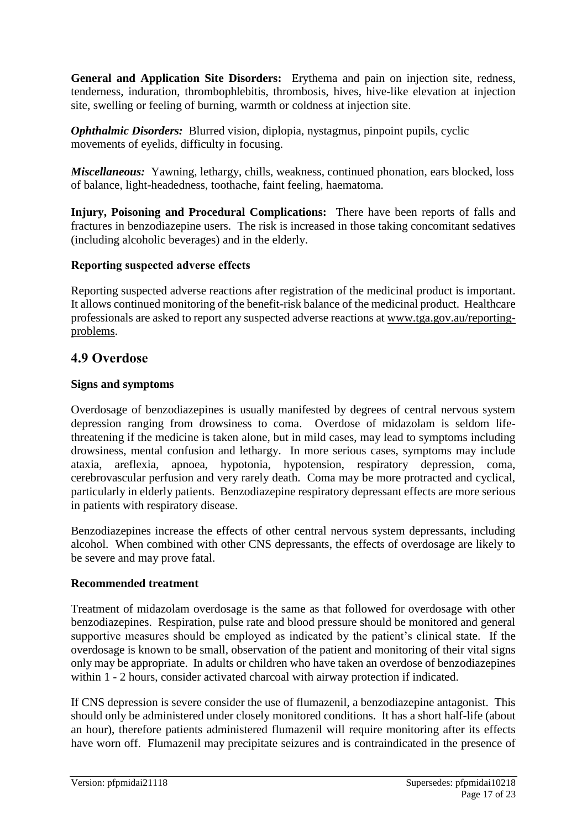**General and Application Site Disorders:** Erythema and pain on injection site, redness, tenderness, induration, thrombophlebitis, thrombosis, hives, hive-like elevation at injection site, swelling or feeling of burning, warmth or coldness at injection site.

*Ophthalmic Disorders:* Blurred vision, diplopia, nystagmus, pinpoint pupils, cyclic movements of eyelids, difficulty in focusing.

*Miscellaneous:* Yawning, lethargy, chills, weakness, continued phonation, ears blocked, loss of balance, light-headedness, toothache, faint feeling, haematoma.

**Injury, Poisoning and Procedural Complications:** There have been reports of falls and fractures in benzodiazepine users. The risk is increased in those taking concomitant sedatives (including alcoholic beverages) and in the elderly.

#### **Reporting suspected adverse effects**

Reporting suspected adverse reactions after registration of the medicinal product is important. It allows continued monitoring of the benefit-risk balance of the medicinal product. Healthcare professionals are asked to report any suspected adverse reactions at [www.tga.gov.au/reporting](http://www.tga.gov.au/reporting-problems)[problems.](http://www.tga.gov.au/reporting-problems)

### **4.9 Overdose**

#### **Signs and symptoms**

Overdosage of benzodiazepines is usually manifested by degrees of central nervous system depression ranging from drowsiness to coma. Overdose of midazolam is seldom lifethreatening if the medicine is taken alone, but in mild cases, may lead to symptoms including drowsiness, mental confusion and lethargy. In more serious cases, symptoms may include ataxia, areflexia, apnoea, hypotonia, hypotension, respiratory depression, coma, cerebrovascular perfusion and very rarely death. Coma may be more protracted and cyclical, particularly in elderly patients. Benzodiazepine respiratory depressant effects are more serious in patients with respiratory disease.

Benzodiazepines increase the effects of other central nervous system depressants, including alcohol. When combined with other CNS depressants, the effects of overdosage are likely to be severe and may prove fatal.

#### **Recommended treatment**

Treatment of midazolam overdosage is the same as that followed for overdosage with other benzodiazepines. Respiration, pulse rate and blood pressure should be monitored and general supportive measures should be employed as indicated by the patient's clinical state. If the overdosage is known to be small, observation of the patient and monitoring of their vital signs only may be appropriate. In adults or children who have taken an overdose of benzodiazepines within 1 - 2 hours, consider activated charcoal with airway protection if indicated.

If CNS depression is severe consider the use of flumazenil, a benzodiazepine antagonist. This should only be administered under closely monitored conditions. It has a short half-life (about an hour), therefore patients administered flumazenil will require monitoring after its effects have worn off. Flumazenil may precipitate seizures and is contraindicated in the presence of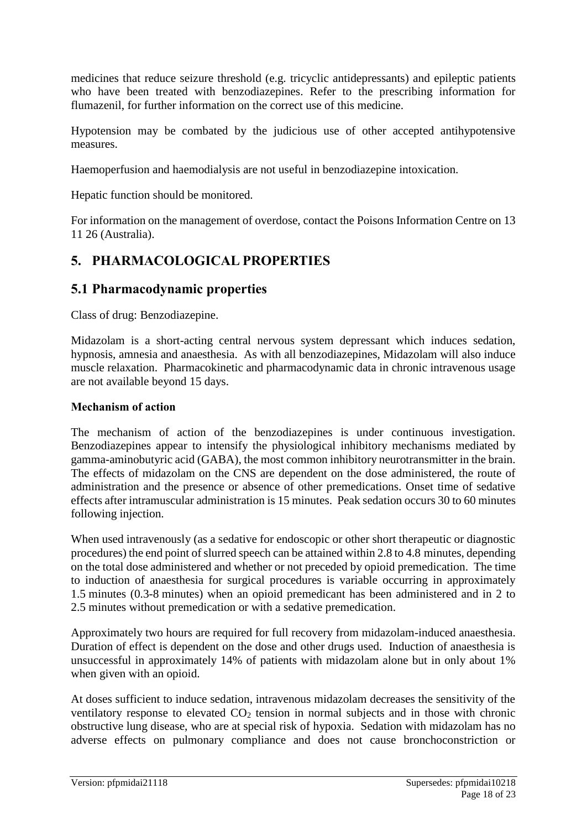medicines that reduce seizure threshold (e.g. tricyclic antidepressants) and epileptic patients who have been treated with benzodiazepines. Refer to the prescribing information for flumazenil, for further information on the correct use of this medicine.

Hypotension may be combated by the judicious use of other accepted antihypotensive measures.

Haemoperfusion and haemodialysis are not useful in benzodiazepine intoxication.

Hepatic function should be monitored.

For information on the management of overdose, contact the Poisons Information Centre on 13 11 26 (Australia).

# **5. PHARMACOLOGICAL PROPERTIES**

### **5.1 Pharmacodynamic properties**

Class of drug: Benzodiazepine.

Midazolam is a short-acting central nervous system depressant which induces sedation, hypnosis, amnesia and anaesthesia. As with all benzodiazepines, Midazolam will also induce muscle relaxation. Pharmacokinetic and pharmacodynamic data in chronic intravenous usage are not available beyond 15 days.

### **Mechanism of action**

The mechanism of action of the benzodiazepines is under continuous investigation. Benzodiazepines appear to intensify the physiological inhibitory mechanisms mediated by gamma-aminobutyric acid (GABA), the most common inhibitory neurotransmitter in the brain. The effects of midazolam on the CNS are dependent on the dose administered, the route of administration and the presence or absence of other premedications. Onset time of sedative effects after intramuscular administration is 15 minutes. Peak sedation occurs 30 to 60 minutes following injection.

When used intravenously (as a sedative for endoscopic or other short therapeutic or diagnostic procedures) the end point of slurred speech can be attained within 2.8 to 4.8 minutes, depending on the total dose administered and whether or not preceded by opioid premedication. The time to induction of anaesthesia for surgical procedures is variable occurring in approximately 1.5 minutes (0.3-8 minutes) when an opioid premedicant has been administered and in 2 to 2.5 minutes without premedication or with a sedative premedication.

Approximately two hours are required for full recovery from midazolam-induced anaesthesia. Duration of effect is dependent on the dose and other drugs used. Induction of anaesthesia is unsuccessful in approximately 14% of patients with midazolam alone but in only about 1% when given with an opioid.

At doses sufficient to induce sedation, intravenous midazolam decreases the sensitivity of the ventilatory response to elevated  $CO<sub>2</sub>$  tension in normal subjects and in those with chronic obstructive lung disease, who are at special risk of hypoxia. Sedation with midazolam has no adverse effects on pulmonary compliance and does not cause bronchoconstriction or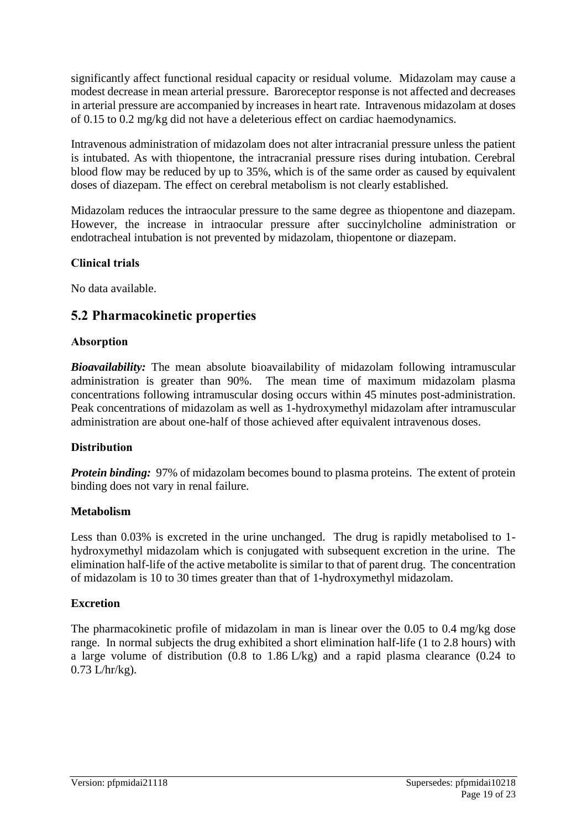significantly affect functional residual capacity or residual volume. Midazolam may cause a modest decrease in mean arterial pressure. Baroreceptor response is not affected and decreases in arterial pressure are accompanied by increases in heart rate. Intravenous midazolam at doses of 0.15 to 0.2 mg/kg did not have a deleterious effect on cardiac haemodynamics.

Intravenous administration of midazolam does not alter intracranial pressure unless the patient is intubated. As with thiopentone, the intracranial pressure rises during intubation. Cerebral blood flow may be reduced by up to 35%, which is of the same order as caused by equivalent doses of diazepam. The effect on cerebral metabolism is not clearly established.

Midazolam reduces the intraocular pressure to the same degree as thiopentone and diazepam. However, the increase in intraocular pressure after succinylcholine administration or endotracheal intubation is not prevented by midazolam, thiopentone or diazepam.

#### **Clinical trials**

No data available.

### **5.2 Pharmacokinetic properties**

#### **Absorption**

*Bioavailability:* The mean absolute bioavailability of midazolam following intramuscular administration is greater than 90%. The mean time of maximum midazolam plasma concentrations following intramuscular dosing occurs within 45 minutes post-administration. Peak concentrations of midazolam as well as 1-hydroxymethyl midazolam after intramuscular administration are about one-half of those achieved after equivalent intravenous doses.

#### **Distribution**

*Protein binding:* 97% of midazolam becomes bound to plasma proteins. The extent of protein binding does not vary in renal failure.

#### **Metabolism**

Less than 0.03% is excreted in the urine unchanged. The drug is rapidly metabolised to 1 hydroxymethyl midazolam which is conjugated with subsequent excretion in the urine. The elimination half-life of the active metabolite is similar to that of parent drug. The concentration of midazolam is 10 to 30 times greater than that of 1-hydroxymethyl midazolam.

#### **Excretion**

The pharmacokinetic profile of midazolam in man is linear over the 0.05 to 0.4 mg/kg dose range. In normal subjects the drug exhibited a short elimination half-life (1 to 2.8 hours) with a large volume of distribution (0.8 to 1.86 L/kg) and a rapid plasma clearance (0.24 to 0.73 L/hr/kg).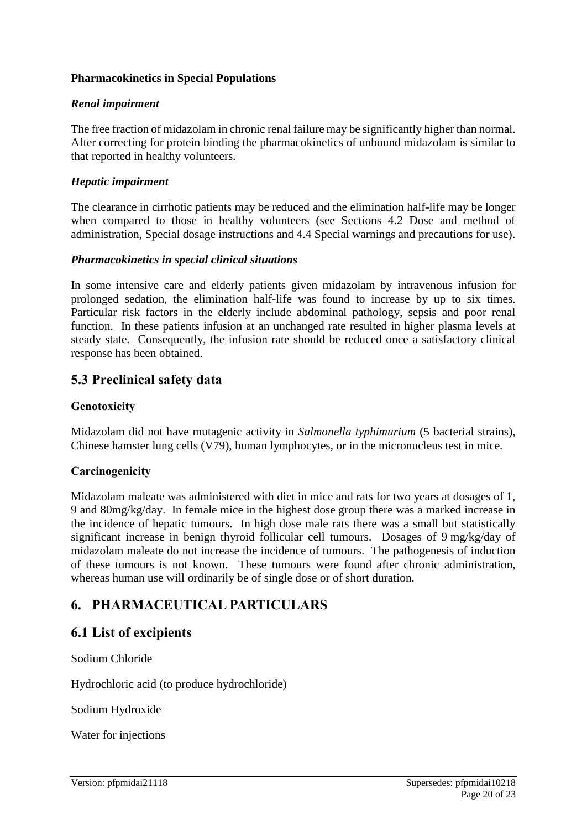#### **Pharmacokinetics in Special Populations**

#### *Renal impairment*

The free fraction of midazolam in chronic renal failure may be significantly higher than normal. After correcting for protein binding the pharmacokinetics of unbound midazolam is similar to that reported in healthy volunteers.

#### *Hepatic impairment*

The clearance in cirrhotic patients may be reduced and the elimination half-life may be longer when compared to those in healthy volunteers (see Sections 4.2 Dose and method of administration, Special dosage instructions and 4.4 Special warnings and precautions for use).

#### *Pharmacokinetics in special clinical situations*

In some intensive care and elderly patients given midazolam by intravenous infusion for prolonged sedation, the elimination half-life was found to increase by up to six times. Particular risk factors in the elderly include abdominal pathology, sepsis and poor renal function. In these patients infusion at an unchanged rate resulted in higher plasma levels at steady state. Consequently, the infusion rate should be reduced once a satisfactory clinical response has been obtained.

### **5.3 Preclinical safety data**

#### **Genotoxicity**

Midazolam did not have mutagenic activity in *Salmonella typhimurium* (5 bacterial strains), Chinese hamster lung cells (V79), human lymphocytes, or in the micronucleus test in mice.

#### **Carcinogenicity**

Midazolam maleate was administered with diet in mice and rats for two years at dosages of 1, 9 and 80mg/kg/day. In female mice in the highest dose group there was a marked increase in the incidence of hepatic tumours. In high dose male rats there was a small but statistically significant increase in benign thyroid follicular cell tumours. Dosages of 9 mg/kg/day of midazolam maleate do not increase the incidence of tumours. The pathogenesis of induction of these tumours is not known. These tumours were found after chronic administration, whereas human use will ordinarily be of single dose or of short duration.

### **6. PHARMACEUTICAL PARTICULARS**

#### **6.1 List of excipients**

Sodium Chloride

Hydrochloric acid (to produce hydrochloride)

Sodium Hydroxide

Water for injections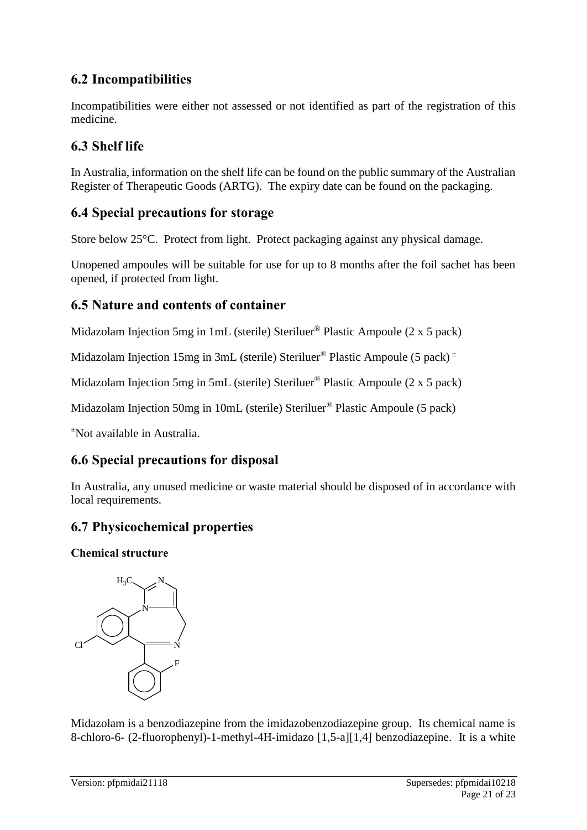# **6.2 Incompatibilities**

Incompatibilities were either not assessed or not identified as part of the registration of this medicine.

# **6.3 Shelf life**

In Australia, information on the shelf life can be found on the public summary of the Australian Register of Therapeutic Goods (ARTG). The expiry date can be found on the packaging.

### **6.4 Special precautions for storage**

Store below 25°C. Protect from light. Protect packaging against any physical damage.

Unopened ampoules will be suitable for use for up to 8 months after the foil sachet has been opened, if protected from light.

### **6.5 Nature and contents of container**

Midazolam Injection 5mg in 1mL (sterile) Steriluer® Plastic Ampoule (2 x 5 pack)

Midazolam Injection 15mg in 3mL (sterile) Steriluer<sup>®</sup> Plastic Ampoule (5 pack)<sup> $\pm$ </sup>

Midazolam Injection 5mg in 5mL (sterile) Steriluer® Plastic Ampoule (2 x 5 pack)

Midazolam Injection 50mg in 10mL (sterile) Steriluer® Plastic Ampoule (5 pack)

<sup>±</sup>Not available in Australia.

# **6.6 Special precautions for disposal**

In Australia, any unused medicine or waste material should be disposed of in accordance with local requirements.

# **6.7 Physicochemical properties**

**Chemical structure** 



Midazolam is a benzodiazepine from the imidazobenzodiazepine group. Its chemical name is 8-chloro-6- (2-fluorophenyl)-1-methyl-4H-imidazo [1,5-a][1,4] benzodiazepine. It is a white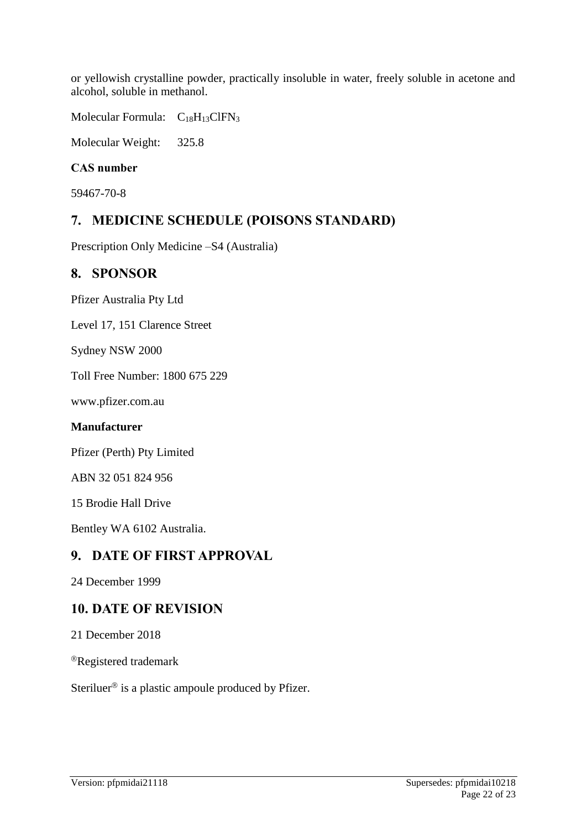or yellowish crystalline powder, practically insoluble in water, freely soluble in acetone and alcohol, soluble in methanol.

Molecular Formula:  $C_{18}H_{13}CIFN_3$ 

Molecular Weight: 325.8

#### **CAS number**

59467-70-8

### **7. MEDICINE SCHEDULE (POISONS STANDARD)**

Prescription Only Medicine –S4 (Australia)

### **8. SPONSOR**

Pfizer Australia Pty Ltd

Level 17, 151 Clarence Street

Sydney NSW 2000

Toll Free Number: 1800 675 229

[www.pfizer.com.au](http://www.pfizer.com.au/)

#### **Manufacturer**

Pfizer (Perth) Pty Limited

ABN 32 051 824 956

15 Brodie Hall Drive

Bentley WA 6102 Australia.

### **9. DATE OF FIRST APPROVAL**

24 December 1999

### **10. DATE OF REVISION**

21 December 2018

®Registered trademark

Steriluer<sup>®</sup> is a plastic ampoule produced by Pfizer.